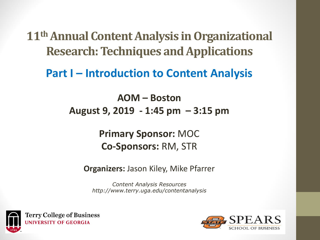**11<sup>th</sup> Annual Content Analysis in Organizational Research: Techniques and Applications** 

**Part I – Introduction to Content Analysis** 

**AOM – Boston August 9, 2019 - 1:45 pm – 3:15 pm**

> **Primary Sponsor:** MOC **Co-Sponsors:** RM, STR

**Organizers:** Jason Kiley, Mike Pfarrer

*Content Analysis Resources http://www.terry.uga.edu/contentanalysis*



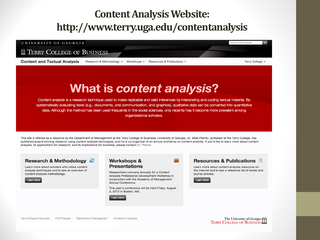# **Content Analysis Website:** http://www.terry.uga.edu/contentanalysis

#### UNIVERSITY OF GEORGIA Search UGA website  $\sim$ **II. TERRY COLLEGE OF BUSINESS Content and Textual Analysis** Terry College v Research & Methodology + Workshops -**Resources & Publications \***

# What is content analysis?

Content analysis is a research technique used to make replicable and valid inferences by interpreting and coding textual material. By systematically evaluating texts (e.g., documents, oral communication, and graphics), qualitative data can be converted into quantitative data. Although the method has been used frequently in the social sciences, only recently has it become more prevalent among organizational scholars.

This site is offered as a resource by the Department of Management at the Terry College of Business, University of Georgia. Dr. Mike Pfarrer, professor at the Terry College, has published award-winning research using content analysis techniques, and he is co-organizer of an annual workshop on content analysis. If you'd like to learn more about content analysis, its applications for research, and its implications for business, please contact Dr. Pfarrer.

#### **Workshops &** Research & Methodology **Resources & Publications Presentations** Learn more about scholars who utilize content Learn more about content analysis resources on analysis techniques and to see an overview of the Internet and to see a reference list of books and Researchers convene annually for a Content content analysis methodology. iournal articles. Analysis Professional Development Workshop in conjunction with the Academy of Management Learn More Learn More Annual Conference. This year's conference will be held Friday, August 3. 2012 in Boston, MA. **Learn More**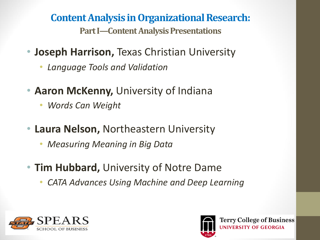**Content Analysis in Organizational Research: Part I—Content Analysis Presentations** 

- **Joseph Harrison,** Texas Christian University
	- *Language Tools and Validation*
- **Aaron McKenny,** University of Indiana
	- *Words Can Weight*
- **Laura Nelson,** Northeastern University
	- *Measuring Meaning in Big Data*
- **Tim Hubbard,** University of Notre Dame
	- *CATA Advances Using Machine and Deep Learning*





**Terry College of Business JNIVERSITY OF GEORGIA**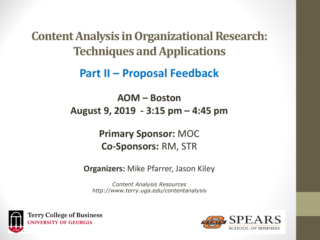**Content Analysis in Organizational Research: Techniques and Applications** 

**Part II – Proposal Feedback**

**AOM – Boston August 9, 2019 - 3:15 pm – 4:45 pm**

> **Primary Sponsor:** MOC **Co-Sponsors:** RM, STR

**Organizers:** Mike Pfarrer, Jason Kiley

*Content Analysis Resources http://www.terry.uga.edu/contentanalysis*